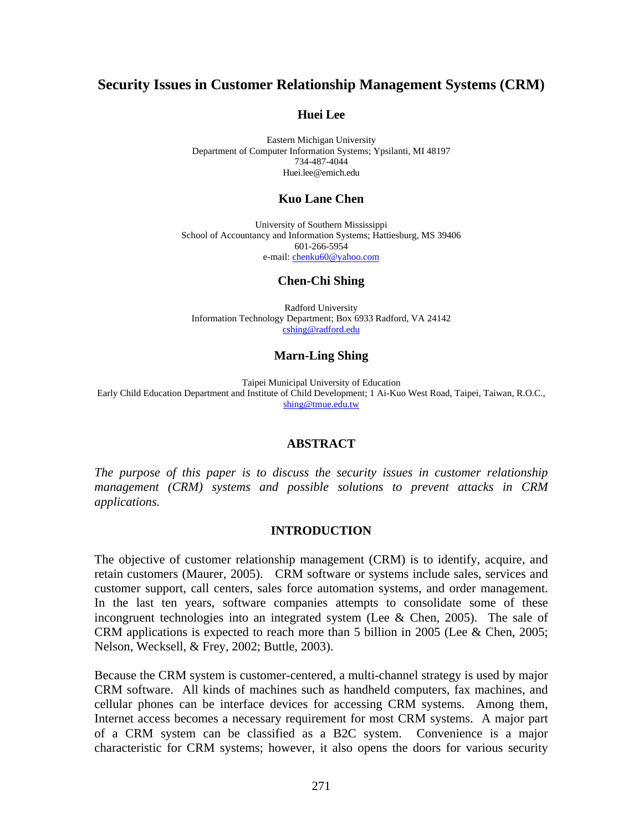# **Security Issues in Customer Relationship Management Systems (CRM)**

#### **Huei Lee**

Eastern Michigan University Department of Computer Information Systems; Ypsilanti, MI 48197 734-487-4044 Huei.lee@emich.edu

#### **Kuo Lane Chen**

University of Southern Mississippi School of Accountancy and Information Systems; Hattiesburg, MS 39406 601-266-5954 e-mail: chenku60@yahoo.com

#### **Chen-Chi Shing**

Radford University Information Technology Department; Box 6933 Radford, VA 24142 cshing@radford.edu

#### **Marn-Ling Shing**

Taipei Municipal University of Education Early Child Education Department and Institute of Child Development; 1 Ai-Kuo West Road, Taipei, Taiwan, R.O.C., shing@tmue.edu.tw

#### **ABSTRACT**

*The purpose of this paper is to discuss the security issues in customer relationship management (CRM) systems and possible solutions to prevent attacks in CRM applications.* 

#### **INTRODUCTION**

The objective of customer relationship management (CRM) is to identify, acquire, and retain customers (Maurer, 2005). CRM software or systems include sales, services and customer support, call centers, sales force automation systems, and order management. In the last ten years, software companies attempts to consolidate some of these incongruent technologies into an integrated system (Lee  $&$  Chen, 2005). The sale of CRM applications is expected to reach more than 5 billion in 2005 (Lee & Chen, 2005; Nelson, Wecksell, & Frey, 2002; Buttle, 2003).

Because the CRM system is customer-centered, a multi-channel strategy is used by major CRM software. All kinds of machines such as handheld computers, fax machines, and cellular phones can be interface devices for accessing CRM systems. Among them, Internet access becomes a necessary requirement for most CRM systems. A major part of a CRM system can be classified as a B2C system. Convenience is a major characteristic for CRM systems; however, it also opens the doors for various security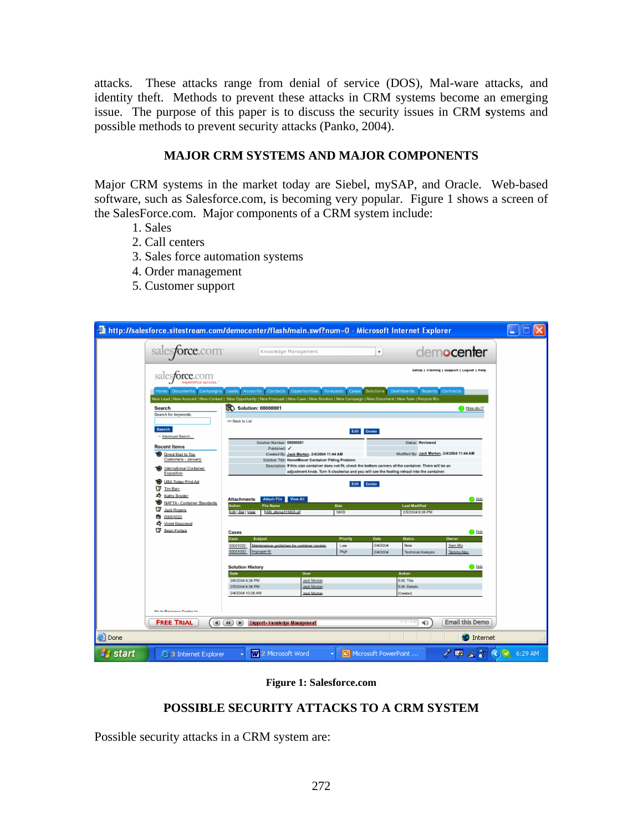attacks. These attacks range from denial of service (DOS), Mal-ware attacks, and identity theft. Methods to prevent these attacks in CRM systems become an emerging issue. The purpose of this paper is to discuss the security issues in CRM **s**ystems and possible methods to prevent security attacks (Panko, 2004).

## **MAJOR CRM SYSTEMS AND MAJOR COMPONENTS**

Major CRM systems in the market today are Siebel, mySAP, and Oracle. Web-based software, such as Salesforce.com, is becoming very popular. Figure 1 shows a screen of the SalesForce.com. Major components of a CRM system include:

- 1. Sales
- 2. Call centers
- 3. Sales force automation systems
- 4. Order management
- 5. Customer support

| <sup>2</sup> http://salesforce.sitestream.com/democenter/flash/main.swf?num=0 - Microsoft Internet Explorer                                                             |                                                                                                                                                                                                                                                          |             |                      |                                             |                                           | H. |
|-------------------------------------------------------------------------------------------------------------------------------------------------------------------------|----------------------------------------------------------------------------------------------------------------------------------------------------------------------------------------------------------------------------------------------------------|-------------|----------------------|---------------------------------------------|-------------------------------------------|----|
| sales <b>force</b> .com                                                                                                                                                 | Knowledge Management                                                                                                                                                                                                                                     |             |                      |                                             | dem <b>ocenter</b>                        |    |
| s <b>force</b> .com<br>sal<br>experience success                                                                                                                        |                                                                                                                                                                                                                                                          |             |                      |                                             | Setup   Framing   Support   Logout   Help |    |
| lome                                                                                                                                                                    | Documents Campaigns Leads Accounts Contacts Opportunities Forecasts Cases Solutions Dashboards<br>New Lead   New Account   New Contact   New Opportunity   New Forecast   New Case   New Solution   New Campaign   New Document   New Task   Recycle Bin |             |                      | Reports Contracts                           |                                           |    |
| Search                                                                                                                                                                  | <b>K</b> Solution: 00000001                                                                                                                                                                                                                              |             |                      |                                             | <b>B</b> How do 1?                        |    |
| Search for keywords:                                                                                                                                                    |                                                                                                                                                                                                                                                          |             |                      |                                             |                                           |    |
|                                                                                                                                                                         | << Beck to List                                                                                                                                                                                                                                          |             |                      |                                             |                                           |    |
| Search<br>+ Advanced Search                                                                                                                                             | Edit Delete                                                                                                                                                                                                                                              |             |                      |                                             |                                           |    |
| <b>Recent Items</b>                                                                                                                                                     | Solution Number: 00000001<br>Published:                                                                                                                                                                                                                  |             |                      | Status: Reviewed                            |                                           |    |
| <b>D</b> Direct Mail to Top                                                                                                                                             | Crested By: Jack Morton, 2/4/2004 11:44 AM                                                                                                                                                                                                               |             |                      | Modified By: Jack Morton, 2/4/2004 11:44 AM |                                           |    |
| Customers - January                                                                                                                                                     | Solution Title: HomeMover Container Fitting Problem                                                                                                                                                                                                      |             |                      |                                             |                                           |    |
| International Container                                                                                                                                                 | Description: If this size container does not fit, check the bottom corners of the container. There will be an                                                                                                                                            |             |                      |                                             |                                           |    |
| Exposition                                                                                                                                                              | adjustment knob. Turn it clockwise and you will see the footing retract into the container.                                                                                                                                                              |             |                      |                                             |                                           |    |
| USA Today Print Ad                                                                                                                                                      | Edit Delete                                                                                                                                                                                                                                              |             |                      |                                             |                                           |    |
| <b>IS</b><br>Tim Barr                                                                                                                                                   |                                                                                                                                                                                                                                                          |             |                      |                                             |                                           |    |
| <b>Z</b> Kathy Snyder                                                                                                                                                   | Attach File View All<br><b>Attachments</b>                                                                                                                                                                                                               |             |                      |                                             | <b>P</b> Help                             |    |
| o<br>NAFTA - Container Standards                                                                                                                                        | <b>File Name</b><br>Action                                                                                                                                                                                                                               | Size        |                      | <b>Last Modified</b>                        |                                           |    |
| G<br>Jack Rogers                                                                                                                                                        | Edit   Del   View<br>FAN sforce111803.aT<br>19KB                                                                                                                                                                                                         |             |                      | 2(5/2004 6:36 PM                            |                                           |    |
| 00001022<br>a                                                                                                                                                           |                                                                                                                                                                                                                                                          |             |                      |                                             |                                           |    |
| Violet Maccleod<br>G<br>Sean Forbes                                                                                                                                     |                                                                                                                                                                                                                                                          |             |                      |                                             |                                           |    |
|                                                                                                                                                                         | Cases                                                                                                                                                                                                                                                    |             |                      |                                             | <b>B</b> Help                             |    |
|                                                                                                                                                                         | <b>Subject</b><br>Case:                                                                                                                                                                                                                                  | Priorit     | Date                 | <b>Status</b>                               | <b>Owner</b>                              |    |
|                                                                                                                                                                         | Mainterance cuidelines for container unclear<br>00001022<br>00001000<br>Improper fit                                                                                                                                                                     | Low<br>High | 2/4/2004<br>2/4/2004 | New                                         | Sam Wu                                    |    |
|                                                                                                                                                                         |                                                                                                                                                                                                                                                          |             |                      | Technical Analysis                          | Tammy Abu                                 |    |
|                                                                                                                                                                         |                                                                                                                                                                                                                                                          |             |                      |                                             | Help                                      |    |
|                                                                                                                                                                         | <b>Solution History</b><br>User<br><b>Action</b><br><b>Date</b>                                                                                                                                                                                          |             |                      |                                             |                                           |    |
|                                                                                                                                                                         | Jack Morton<br>2/6/2004 8:36 PM                                                                                                                                                                                                                          |             |                      | Edit: Title                                 |                                           |    |
|                                                                                                                                                                         | 2/5/2004 6:36 PM<br>Jack Morton                                                                                                                                                                                                                          |             | <b>Edit: Details</b> |                                             |                                           |    |
|                                                                                                                                                                         | 2/4/2004 10:26 AM<br><b>Jack Motton</b>                                                                                                                                                                                                                  |             |                      | Crested.                                    |                                           |    |
|                                                                                                                                                                         |                                                                                                                                                                                                                                                          |             |                      |                                             |                                           |    |
| <b>We to Barnesse Poster No.</b>                                                                                                                                        |                                                                                                                                                                                                                                                          |             |                      |                                             |                                           |    |
|                                                                                                                                                                         |                                                                                                                                                                                                                                                          |             |                      |                                             |                                           |    |
| <b>FREE TRIAL</b><br>$\circledast$                                                                                                                                      | (11)(R)<br>Support-Roowledge Management                                                                                                                                                                                                                  |             |                      | 4)                                          | <b>Email this Demo</b>                    |    |
| <b>Done</b><br><b>O</b> Internet                                                                                                                                        |                                                                                                                                                                                                                                                          |             |                      |                                             |                                           |    |
| $\mathscr{L} \boxtimes \mathscr{L} \rightarrow \mathscr{L} \rightarrow \mathscr{L}$ 6:29 AM<br>start<br>2 Microsoft Word<br>Microsoft PowerPoint<br>3 Internet Explorer |                                                                                                                                                                                                                                                          |             |                      |                                             |                                           |    |

#### **Figure 1: Salesforce.com**

#### **POSSIBLE SECURITY ATTACKS TO A CRM SYSTEM**

Possible security attacks in a CRM system are: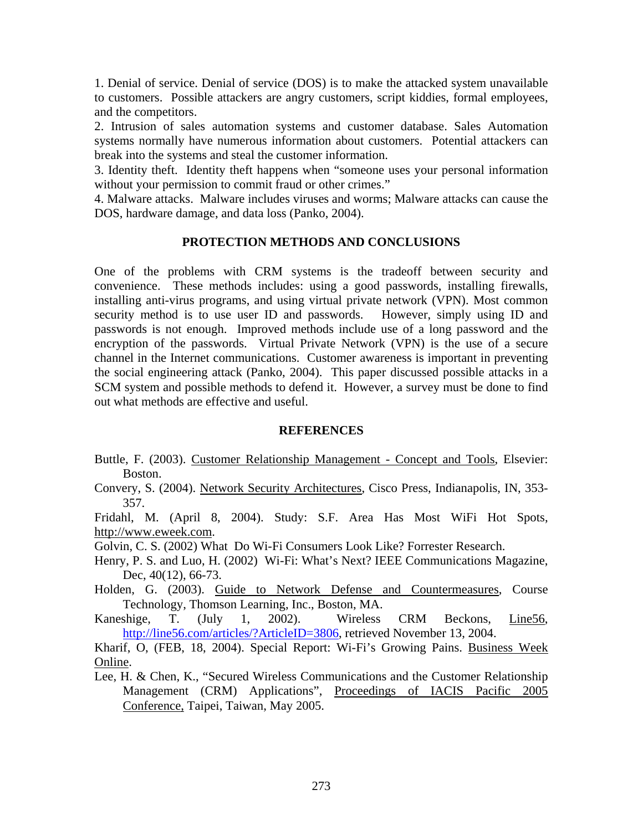1. Denial of service. Denial of service (DOS) is to make the attacked system unavailable to customers. Possible attackers are angry customers, script kiddies, formal employees, and the competitors.

2. Intrusion of sales automation systems and customer database. Sales Automation systems normally have numerous information about customers. Potential attackers can break into the systems and steal the customer information.

3. Identity theft. Identity theft happens when "someone uses your personal information without your permission to commit fraud or other crimes."

4. Malware attacks. Malware includes viruses and worms; Malware attacks can cause the DOS, hardware damage, and data loss (Panko, 2004).

### **PROTECTION METHODS AND CONCLUSIONS**

One of the problems with CRM systems is the tradeoff between security and convenience. These methods includes: using a good passwords, installing firewalls, installing anti-virus programs, and using virtual private network (VPN). Most common security method is to use user ID and passwords. However, simply using ID and passwords is not enough. Improved methods include use of a long password and the encryption of the passwords. Virtual Private Network (VPN) is the use of a secure channel in the Internet communications. Customer awareness is important in preventing the social engineering attack (Panko, 2004). This paper discussed possible attacks in a SCM system and possible methods to defend it. However, a survey must be done to find out what methods are effective and useful.

#### **REFERENCES**

- Buttle, F. (2003). Customer Relationship Management Concept and Tools, Elsevier: Boston.
- Convery, S. (2004). Network Security Architectures, Cisco Press, Indianapolis, IN, 353- 357.

Fridahl, M. (April 8, 2004). Study: S.F. Area Has Most WiFi Hot Spots, http://www.eweek.com.

Golvin, C. S. (2002) What Do Wi-Fi Consumers Look Like? Forrester Research.

Henry, P. S. and Luo, H. (2002) Wi-Fi: What's Next? IEEE Communications Magazine, Dec, 40(12), 66-73.

Holden, G. (2003). Guide to Network Defense and Countermeasures, Course Technology, Thomson Learning, Inc., Boston, MA.

Kaneshige, T. (July 1, 2002). Wireless CRM Beckons, Line56, http://line56.com/articles/?ArticleID=3806, retrieved November 13, 2004.

Kharif, O, (FEB, 18, 2004). Special Report: Wi-Fi's Growing Pains. Business Week Online.

Lee, H. & Chen, K., "Secured Wireless Communications and the Customer Relationship Management (CRM) Applications", Proceedings of IACIS Pacific 2005 Conference, Taipei, Taiwan, May 2005.